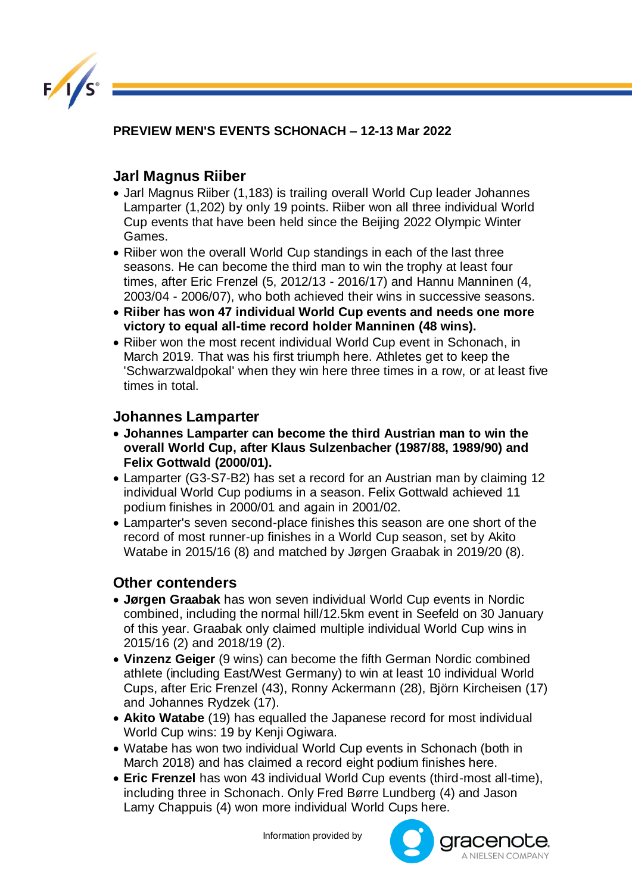

**PREVIEW MEN'S EVENTS SCHONACH – 12-13 Mar 2022** 

## **Jarl Magnus Riiber**

- Jarl Magnus Riiber (1,183) is trailing overall World Cup leader Johannes Lamparter (1,202) by only 19 points. Riiber won all three individual World Cup events that have been held since the Beijing 2022 Olympic Winter Games.
- Riiber won the overall World Cup standings in each of the last three seasons. He can become the third man to win the trophy at least four times, after Eric Frenzel (5, 2012/13 - 2016/17) and Hannu Manninen (4, 2003/04 - 2006/07), who both achieved their wins in successive seasons.
- **Riiber has won 47 individual World Cup events and needs one more victory to equal all-time record holder Manninen (48 wins).**
- Riiber won the most recent individual World Cup event in Schonach, in March 2019. That was his first triumph here. Athletes get to keep the 'Schwarzwaldpokal' when they win here three times in a row, or at least five times in total.

## **Johannes Lamparter**

- **Johannes Lamparter can become the third Austrian man to win the overall World Cup, after Klaus Sulzenbacher (1987/88, 1989/90) and Felix Gottwald (2000/01).**
- Lamparter (G3-S7-B2) has set a record for an Austrian man by claiming 12 individual World Cup podiums in a season. Felix Gottwald achieved 11 podium finishes in 2000/01 and again in 2001/02.
- Lamparter's seven second-place finishes this season are one short of the record of most runner-up finishes in a World Cup season, set by Akito Watabe in 2015/16 (8) and matched by Jørgen Graabak in 2019/20 (8).

## **Other contenders**

- **Jørgen Graabak** has won seven individual World Cup events in Nordic combined, including the normal hill/12.5km event in Seefeld on 30 January of this year. Graabak only claimed multiple individual World Cup wins in 2015/16 (2) and 2018/19 (2).
- **Vinzenz Geiger** (9 wins) can become the fifth German Nordic combined athlete (including East/West Germany) to win at least 10 individual World Cups, after Eric Frenzel (43), Ronny Ackermann (28), Björn Kircheisen (17) and Johannes Rydzek (17).
- **Akito Watabe** (19) has equalled the Japanese record for most individual World Cup wins: 19 by Kenji Ogiwara.
- Watabe has won two individual World Cup events in Schonach (both in March 2018) and has claimed a record eight podium finishes here.
- **Eric Frenzel** has won 43 individual World Cup events (third-most all-time), including three in Schonach. Only Fred Børre Lundberg (4) and Jason Lamy Chappuis (4) won more individual World Cups here.

Information provided by